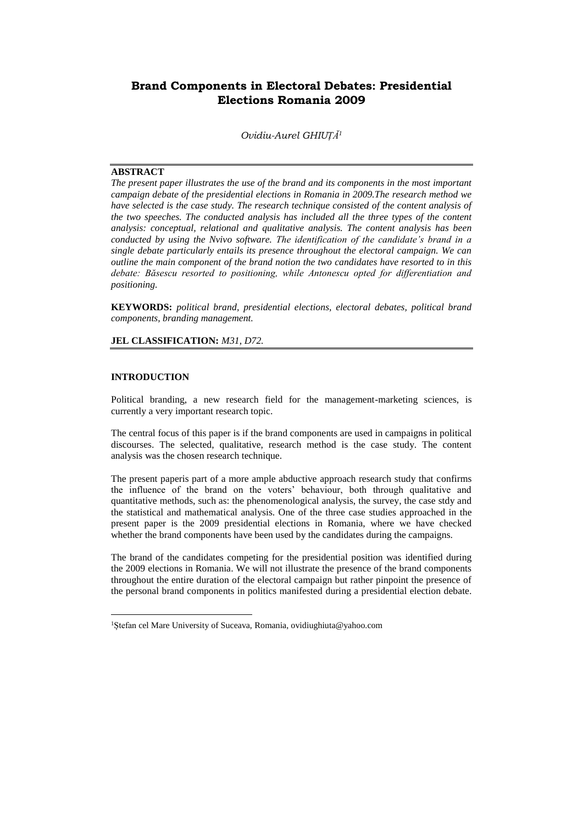# **Brand Components in Electoral Debates: Presidential Elections Romania 2009**

*Ovidiu-Aurel GHIUȚĂ<sup>1</sup>*

# **ABSTRACT**

*The present paper illustrates the use of the brand and its components in the most important campaign debate of the presidential elections in Romania in 2009.The research method we have selected is the case study. The research technique consisted of the content analysis of the two speeches. The conducted analysis has included all the three types of the content analysis: conceptual, relational and qualitative analysis. The content analysis has been conducted by using the Nvivo software. The identification of the candidate's brand in a single debate particularly entails its presence throughout the electoral campaign. We can outline the main component of the brand notion the two candidates have resorted to in this debate: Băsescu resorted to positioning, while Antonescu opted for differentiation and positioning.* 

**KEYWORDS:** *political brand, presidential elections, electoral debates, political brand components, branding management.*

### **JEL CLASSIFICATION:** *M31, D72.*

#### **INTRODUCTION**

 $\overline{a}$ 

Political branding, a new research field for the management-marketing sciences, is currently a very important research topic.

The central focus of this paper is if the brand components are used in campaigns in political discourses. The selected, qualitative, research method is the case study. The content analysis was the chosen research technique.

The present paperis part of a more ample abductive approach research study that confirms the influence of the brand on the voters' behaviour, both through qualitative and quantitative methods, such as: the phenomenological analysis, the survey, the case stdy and the statistical and mathematical analysis. One of the three case studies approached in the present paper is the 2009 presidential elections in Romania, where we have checked whether the brand components have been used by the candidates during the campaigns.

The brand of the candidates competing for the presidential position was identified during the 2009 elections in Romania. We will not illustrate the presence of the brand components throughout the entire duration of the electoral campaign but rather pinpoint the presence of the personal brand components in politics manifested during a presidential election debate.

<sup>1</sup>Ștefan cel Mare University of Suceava, Romania, ovidiughiuta@yahoo.com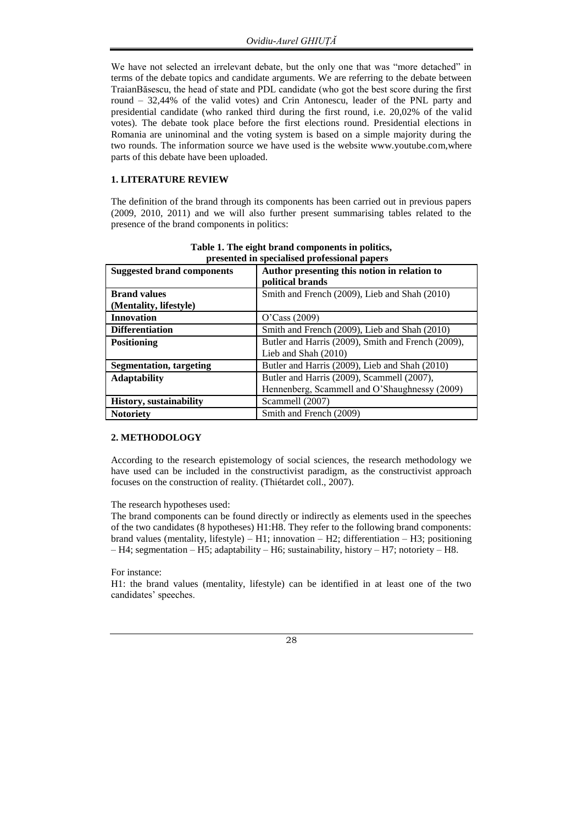We have not selected an irrelevant debate, but the only one that was "more detached" in terms of the debate topics and candidate arguments. We are referring to the debate between TraianBăsescu, the head of state and PDL candidate (who got the best score during the first round – 32,44% of the valid votes) and Crin Antonescu, leader of the PNL party and presidential candidate (who ranked third during the first round, i.e. 20,02% of the valid votes). The debate took place before the first elections round. Presidential elections in Romania are uninominal and the voting system is based on a simple majority during the two rounds. The information source we have used is the website www.youtube.com,where parts of this debate have been uploaded.

# **1. LITERATURE REVIEW**

The definition of the brand through its components has been carried out in previous papers (2009, 2010, 2011) and we will also further present summarising tables related to the presence of the brand components in politics:

| presented in specialised professional papers |                                                    |  |  |  |  |  |
|----------------------------------------------|----------------------------------------------------|--|--|--|--|--|
| <b>Suggested brand components</b>            | Author presenting this notion in relation to       |  |  |  |  |  |
|                                              | political brands                                   |  |  |  |  |  |
| <b>Brand values</b>                          | Smith and French (2009), Lieb and Shah (2010)      |  |  |  |  |  |
| (Mentality, lifestyle)                       |                                                    |  |  |  |  |  |
| <b>Innovation</b>                            | O'Case (2009)                                      |  |  |  |  |  |
| <b>Differentiation</b>                       | Smith and French (2009), Lieb and Shah (2010)      |  |  |  |  |  |
| <b>Positioning</b>                           | Butler and Harris (2009), Smith and French (2009), |  |  |  |  |  |
|                                              | Lieb and Shah (2010)                               |  |  |  |  |  |
| <b>Segmentation, targeting</b>               | Butler and Harris (2009), Lieb and Shah (2010)     |  |  |  |  |  |
| <b>Adaptability</b>                          | Butler and Harris (2009), Scammell (2007),         |  |  |  |  |  |
|                                              | Hennenberg, Scammell and O'Shaughnessy (2009)      |  |  |  |  |  |
| <b>History</b> , sustainability              | Scammell (2007)                                    |  |  |  |  |  |
| <b>Notoriety</b>                             | Smith and French (2009)                            |  |  |  |  |  |

| Table 1. The eight brand components in politics, |  |
|--------------------------------------------------|--|
| presented in specialised professional papers     |  |

## **2. METHODOLOGY**

According to the research epistemology of social sciences, the research methodology we have used can be included in the constructivist paradigm, as the constructivist approach focuses on the construction of reality. (Thiétardet coll., 2007).

The research hypotheses used:

The brand components can be found directly or indirectly as elements used in the speeches of the two candidates (8 hypotheses) H1:H8. They refer to the following brand components: brand values (mentality, lifestyle) – H1; innovation – H2; differentiation – H3; positioning – H4; segmentation – H5; adaptability – H6; sustainability, history – H7; notoriety – H8.

#### For instance:

H1: the brand values (mentality, lifestyle) can be identified in at least one of the two candidates' speeches.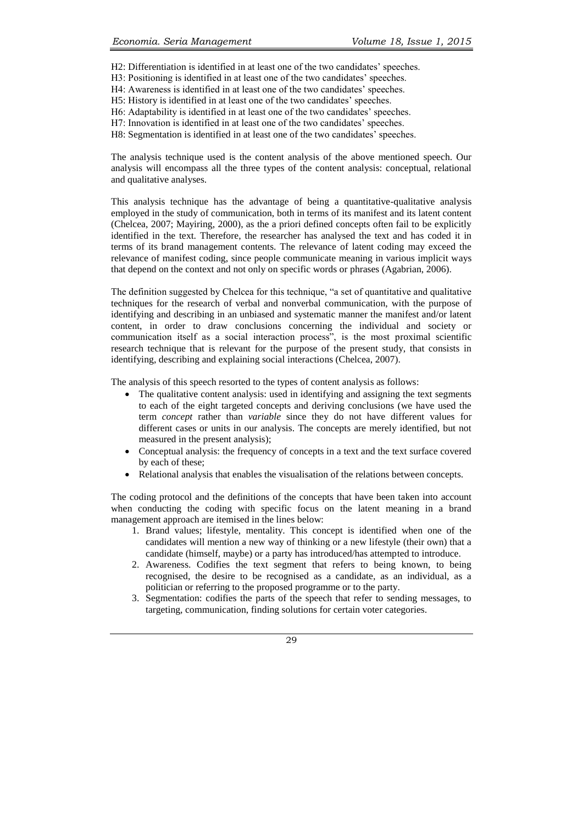H2: Differentiation is identified in at least one of the two candidates' speeches.

H3: Positioning is identified in at least one of the two candidates' speeches.

H4: Awareness is identified in at least one of the two candidates' speeches.

H5: History is identified in at least one of the two candidates' speeches.

H6: Adaptability is identified in at least one of the two candidates' speeches.

H7: Innovation is identified in at least one of the two candidates' speeches.

H8: Segmentation is identified in at least one of the two candidates' speeches.

The analysis technique used is the content analysis of the above mentioned speech. Our analysis will encompass all the three types of the content analysis: conceptual, relational and qualitative analyses.

This analysis technique has the advantage of being a quantitative-qualitative analysis employed in the study of communication, both in terms of its manifest and its latent content (Chelcea, 2007; Mayiring, 2000), as the a priori defined concepts often fail to be explicitly identified in the text. Therefore, the researcher has analysed the text and has coded it in terms of its brand management contents. The relevance of latent coding may exceed the relevance of manifest coding, since people communicate meaning in various implicit ways that depend on the context and not only on specific words or phrases (Agabrian, 2006).

The definition suggested by Chelcea for this technique, "a set of quantitative and qualitative techniques for the research of verbal and nonverbal communication, with the purpose of identifying and describing in an unbiased and systematic manner the manifest and/or latent content, in order to draw conclusions concerning the individual and society or communication itself as a social interaction process", is the most proximal scientific research technique that is relevant for the purpose of the present study, that consists in identifying, describing and explaining social interactions (Chelcea, 2007).

The analysis of this speech resorted to the types of content analysis as follows:

- The qualitative content analysis: used in identifying and assigning the text segments to each of the eight targeted concepts and deriving conclusions (we have used the term *concept* rather than *variable* since they do not have different values for different cases or units in our analysis. The concepts are merely identified, but not measured in the present analysis);
- Conceptual analysis: the frequency of concepts in a text and the text surface covered by each of these;
- Relational analysis that enables the visualisation of the relations between concepts.

The coding protocol and the definitions of the concepts that have been taken into account when conducting the coding with specific focus on the latent meaning in a brand management approach are itemised in the lines below:

- 1. Brand values; lifestyle, mentality. This concept is identified when one of the candidates will mention a new way of thinking or a new lifestyle (their own) that a candidate (himself, maybe) or a party has introduced/has attempted to introduce.
- 2. Awareness. Codifies the text segment that refers to being known, to being recognised, the desire to be recognised as a candidate, as an individual, as a politician or referring to the proposed programme or to the party.
- 3. Segmentation: codifies the parts of the speech that refer to sending messages, to targeting, communication, finding solutions for certain voter categories.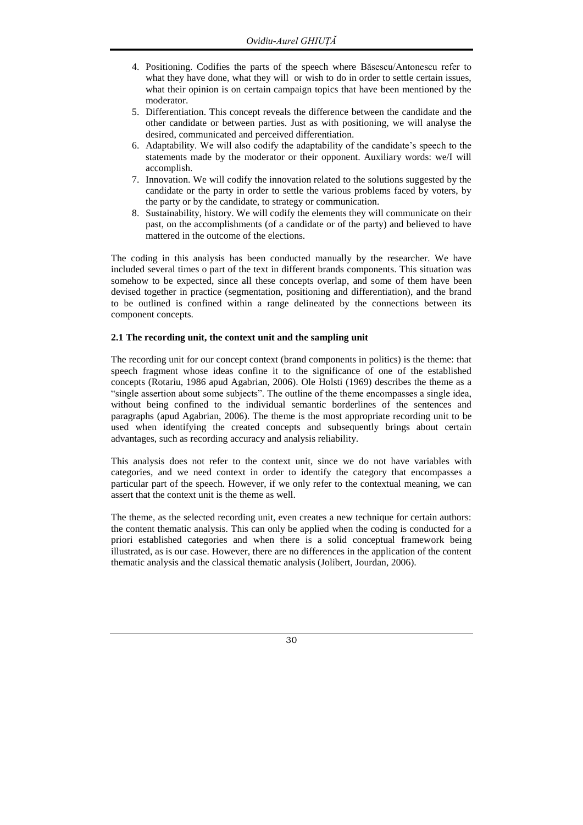- 4. Positioning. Codifies the parts of the speech where Băsescu/Antonescu refer to what they have done, what they will or wish to do in order to settle certain issues, what their opinion is on certain campaign topics that have been mentioned by the moderator.
- 5. Differentiation. This concept reveals the difference between the candidate and the other candidate or between parties. Just as with positioning, we will analyse the desired, communicated and perceived differentiation.
- 6. Adaptability. We will also codify the adaptability of the candidate's speech to the statements made by the moderator or their opponent. Auxiliary words: we/I will accomplish.
- 7. Innovation. We will codify the innovation related to the solutions suggested by the candidate or the party in order to settle the various problems faced by voters, by the party or by the candidate, to strategy or communication.
- 8. Sustainability, history. We will codify the elements they will communicate on their past, on the accomplishments (of a candidate or of the party) and believed to have mattered in the outcome of the elections.

The coding in this analysis has been conducted manually by the researcher. We have included several times o part of the text in different brands components. This situation was somehow to be expected, since all these concepts overlap, and some of them have been devised together in practice (segmentation, positioning and differentiation), and the brand to be outlined is confined within a range delineated by the connections between its component concepts.

# **2.1 The recording unit, the context unit and the sampling unit**

The recording unit for our concept context (brand components in politics) is the theme: that speech fragment whose ideas confine it to the significance of one of the established concepts (Rotariu, 1986 apud Agabrian, 2006). Ole Holsti (1969) describes the theme as a "single assertion about some subjects". The outline of the theme encompasses a single idea, without being confined to the individual semantic borderlines of the sentences and paragraphs (apud Agabrian, 2006). The theme is the most appropriate recording unit to be used when identifying the created concepts and subsequently brings about certain advantages, such as recording accuracy and analysis reliability.

This analysis does not refer to the context unit, since we do not have variables with categories, and we need context in order to identify the category that encompasses a particular part of the speech. However, if we only refer to the contextual meaning, we can assert that the context unit is the theme as well.

The theme, as the selected recording unit, even creates a new technique for certain authors: the content thematic analysis. This can only be applied when the coding is conducted for a priori established categories and when there is a solid conceptual framework being illustrated, as is our case. However, there are no differences in the application of the content thematic analysis and the classical thematic analysis (Jolibert, Jourdan, 2006).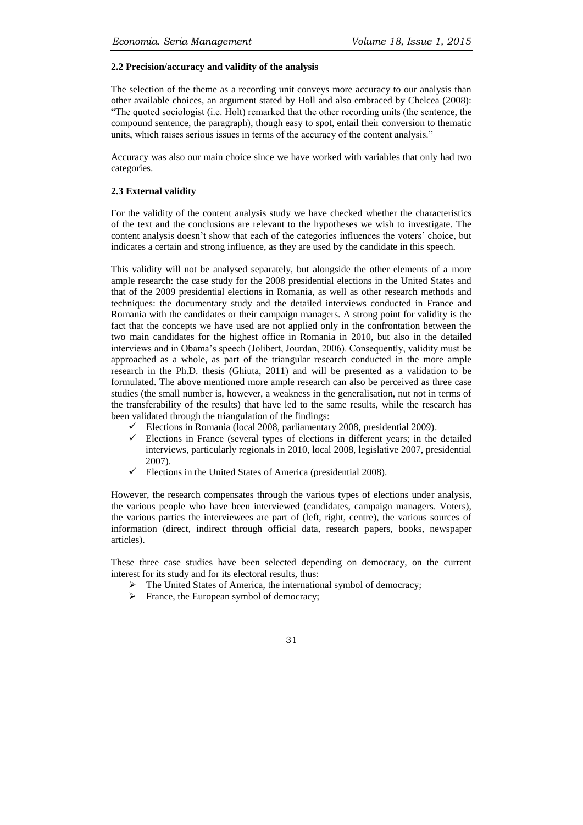#### **2.2 Precision/accuracy and validity of the analysis**

The selection of the theme as a recording unit conveys more accuracy to our analysis than other available choices, an argument stated by Holl and also embraced by Chelcea (2008): "The quoted sociologist (i.e. Holt) remarked that the other recording units (the sentence, the compound sentence, the paragraph), though easy to spot, entail their conversion to thematic units, which raises serious issues in terms of the accuracy of the content analysis."

Accuracy was also our main choice since we have worked with variables that only had two categories.

# **2.3 External validity**

For the validity of the content analysis study we have checked whether the characteristics of the text and the conclusions are relevant to the hypotheses we wish to investigate. The content analysis doesn't show that each of the categories influences the voters' choice, but indicates a certain and strong influence, as they are used by the candidate in this speech.

This validity will not be analysed separately, but alongside the other elements of a more ample research: the case study for the 2008 presidential elections in the United States and that of the 2009 presidential elections in Romania, as well as other research methods and techniques: the documentary study and the detailed interviews conducted in France and Romania with the candidates or their campaign managers. A strong point for validity is the fact that the concepts we have used are not applied only in the confrontation between the two main candidates for the highest office in Romania in 2010, but also in the detailed interviews and in Obama's speech (Jolibert, Jourdan, 2006). Consequently, validity must be approached as a whole, as part of the triangular research conducted in the more ample research in the Ph.D. thesis (Ghiuta, 2011) and will be presented as a validation to be formulated. The above mentioned more ample research can also be perceived as three case studies (the small number is, however, a weakness in the generalisation, nut not in terms of the transferability of the results) that have led to the same results, while the research has been validated through the triangulation of the findings:

- Elections in Romania (local 2008, parliamentary 2008, presidential 2009).
- Elections in France (several types of elections in different years; in the detailed interviews, particularly regionals in 2010, local 2008, legislative 2007, presidential 2007).
- $\checkmark$  Elections in the United States of America (presidential 2008).

However, the research compensates through the various types of elections under analysis, the various people who have been interviewed (candidates, campaign managers. Voters), the various parties the interviewees are part of (left, right, centre), the various sources of information (direct, indirect through official data, research papers, books, newspaper articles).

These three case studies have been selected depending on democracy, on the current interest for its study and for its electoral results, thus:

- $\triangleright$  The United States of America, the international symbol of democracy;
- $\triangleright$  France, the European symbol of democracy;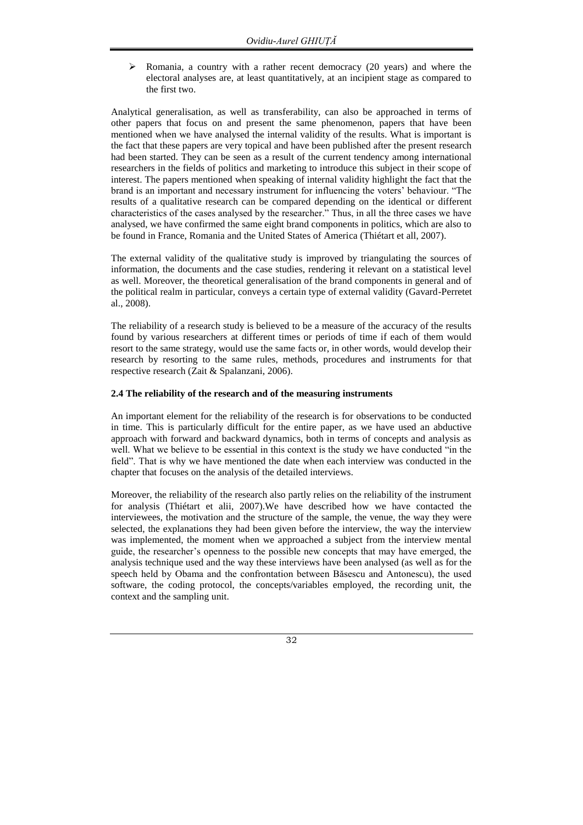$\triangleright$  Romania, a country with a rather recent democracy (20 years) and where the electoral analyses are, at least quantitatively, at an incipient stage as compared to the first two.

Analytical generalisation, as well as transferability, can also be approached in terms of other papers that focus on and present the same phenomenon, papers that have been mentioned when we have analysed the internal validity of the results. What is important is the fact that these papers are very topical and have been published after the present research had been started. They can be seen as a result of the current tendency among international researchers in the fields of politics and marketing to introduce this subject in their scope of interest. The papers mentioned when speaking of internal validity highlight the fact that the brand is an important and necessary instrument for influencing the voters' behaviour. "The results of a qualitative research can be compared depending on the identical or different characteristics of the cases analysed by the researcher." Thus, in all the three cases we have analysed, we have confirmed the same eight brand components in politics, which are also to be found in France, Romania and the United States of America (Thiétart et all, 2007).

The external validity of the qualitative study is improved by triangulating the sources of information, the documents and the case studies, rendering it relevant on a statistical level as well. Moreover, the theoretical generalisation of the brand components in general and of the political realm in particular, conveys a certain type of external validity (Gavard-Perretet al., 2008).

The reliability of a research study is believed to be a measure of the accuracy of the results found by various researchers at different times or periods of time if each of them would resort to the same strategy, would use the same facts or, in other words, would develop their research by resorting to the same rules, methods, procedures and instruments for that respective research (Zait & Spalanzani, 2006).

# **2.4 The reliability of the research and of the measuring instruments**

An important element for the reliability of the research is for observations to be conducted in time. This is particularly difficult for the entire paper, as we have used an abductive approach with forward and backward dynamics, both in terms of concepts and analysis as well. What we believe to be essential in this context is the study we have conducted "in the field". That is why we have mentioned the date when each interview was conducted in the chapter that focuses on the analysis of the detailed interviews.

Moreover, the reliability of the research also partly relies on the reliability of the instrument for analysis (Thiétart et alii, 2007).We have described how we have contacted the interviewees, the motivation and the structure of the sample, the venue, the way they were selected, the explanations they had been given before the interview, the way the interview was implemented, the moment when we approached a subject from the interview mental guide, the researcher's openness to the possible new concepts that may have emerged, the analysis technique used and the way these interviews have been analysed (as well as for the speech held by Obama and the confrontation between Băsescu and Antonescu), the used software, the coding protocol, the concepts/variables employed, the recording unit, the context and the sampling unit.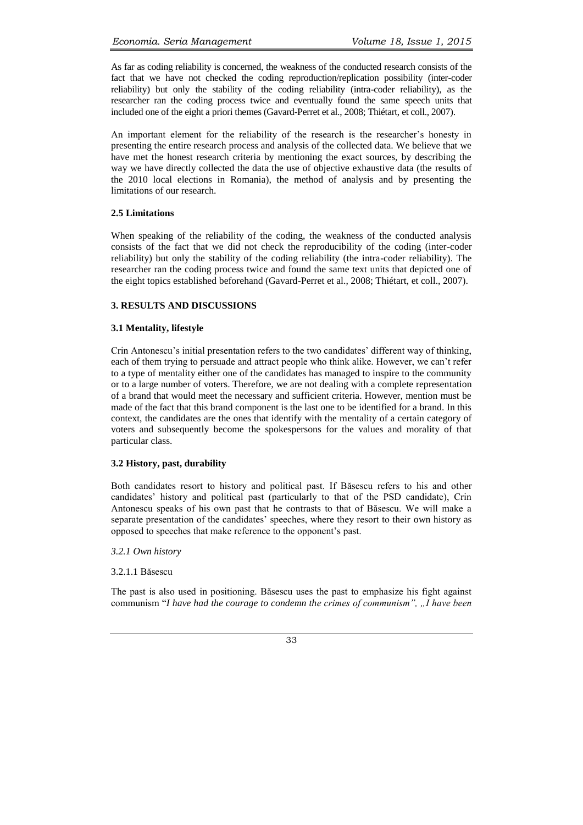As far as coding reliability is concerned, the weakness of the conducted research consists of the fact that we have not checked the coding reproduction/replication possibility (inter-coder reliability) but only the stability of the coding reliability (intra-coder reliability), as the researcher ran the coding process twice and eventually found the same speech units that included one of the eight a priori themes (Gavard-Perret et al., 2008; Thiétart, et coll., 2007).

An important element for the reliability of the research is the researcher's honesty in presenting the entire research process and analysis of the collected data. We believe that we have met the honest research criteria by mentioning the exact sources, by describing the way we have directly collected the data the use of objective exhaustive data (the results of the 2010 local elections in Romania), the method of analysis and by presenting the limitations of our research.

# **2.5 Limitations**

When speaking of the reliability of the coding, the weakness of the conducted analysis consists of the fact that we did not check the reproducibility of the coding (inter-coder reliability) but only the stability of the coding reliability (the intra-coder reliability). The researcher ran the coding process twice and found the same text units that depicted one of the eight topics established beforehand (Gavard-Perret et al., 2008; Thiétart, et coll., 2007).

# **3. RESULTS AND DISCUSSIONS**

# **3.1 Mentality, lifestyle**

Crin Antonescu's initial presentation refers to the two candidates' different way of thinking, each of them trying to persuade and attract people who think alike. However, we can't refer to a type of mentality either one of the candidates has managed to inspire to the community or to a large number of voters. Therefore, we are not dealing with a complete representation of a brand that would meet the necessary and sufficient criteria. However, mention must be made of the fact that this brand component is the last one to be identified for a brand. In this context, the candidates are the ones that identify with the mentality of a certain category of voters and subsequently become the spokespersons for the values and morality of that particular class.

### **3.2 History, past, durability**

Both candidates resort to history and political past. If Băsescu refers to his and other candidates' history and political past (particularly to that of the PSD candidate), Crin Antonescu speaks of his own past that he contrasts to that of Băsescu. We will make a separate presentation of the candidates' speeches, where they resort to their own history as opposed to speeches that make reference to the opponent's past.

*3.2.1 Own history*

3.2.1.1 Băsescu

The past is also used in positioning. Băsescu uses the past to emphasize his fight against communism "*I have had the courage to condemn the crimes of communism", "I have been*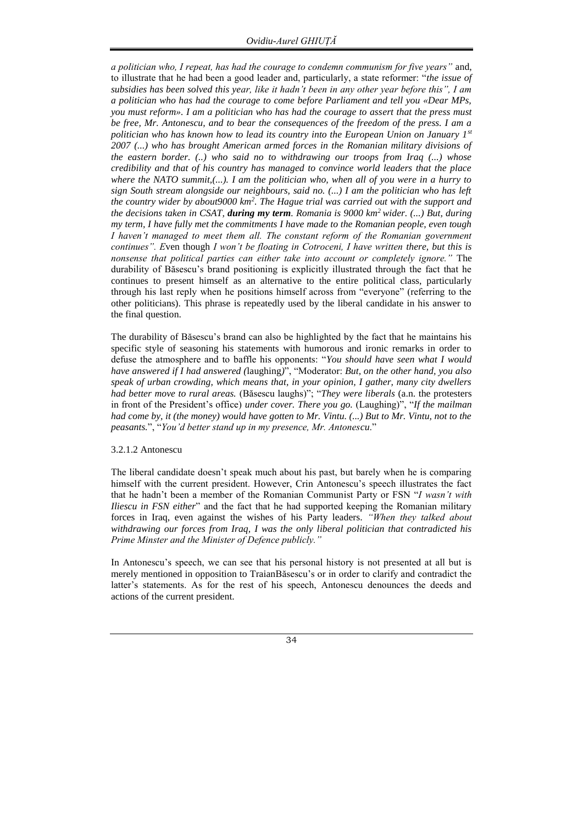*a politician who, I repeat, has had the courage to condemn communism for five years"* and, to illustrate that he had been a good leader and, particularly, a state reformer: "*the issue of subsidies has been solved this year, like it hadn't been in any other year before this", I am a politician who has had the courage to come before Parliament and tell you «Dear MPs, you must reform». I am a politician who has had the courage to assert that the press must be free, Mr. Antonescu, and to bear the consequences of the freedom of the press. I am a politician who has known how to lead its country into the European Union on January 1st 2007 (...) who has brought American armed forces in the Romanian military divisions of the eastern border. (..) who said no to withdrawing our troops from Iraq (...) whose credibility and that of his country has managed to convince world leaders that the place where the NATO summit,(...). I am the politician who, when all of you were in a hurry to sign South stream alongside our neighbours, said no. (...) I am the politician who has left the country wider by about9000 km<sup>2</sup> . The Hague trial was carried out with the support and the decisions taken in CSAT, during my term. Romania is 9000 km<sup>2</sup>wider. (...) But, during my term, I have fully met the commitments I have made to the Romanian people, even tough I haven't managed to meet them all. The constant reform of the Romanian government continues". E*ven though *I won't be floating in Cotroceni, I have written there, but this is nonsense that political parties can either take into account or completely ignore."* The durability of Băsescu's brand positioning is explicitly illustrated through the fact that he continues to present himself as an alternative to the entire political class, particularly through his last reply when he positions himself across from "everyone" (referring to the other politicians). This phrase is repeatedly used by the liberal candidate in his answer to the final question.

The durability of Băsescu's brand can also be highlighted by the fact that he maintains his specific style of seasoning his statements with humorous and ironic remarks in order to defuse the atmosphere and to baffle his opponents: "*You should have seen what I would have answered if I had answered (*laughing*)*", "Moderator: *But, on the other hand, you also speak of urban crowding, which means that, in your opinion, I gather, many city dwellers had better move to rural areas.* (Băsescu laughs)"; "*They were liberals* (a.n. the protesters in front of the President's office) *under cover. There you go.* (Laughing)", "*If the mailman had come by, it (the money) would have gotten to Mr. Vintu. (...) But to Mr. Vintu, not to the peasants.*", "*You'd better stand up in my presence, Mr. Antonescu*."

### 3.2.1.2 Antonescu

The liberal candidate doesn't speak much about his past, but barely when he is comparing himself with the current president. However, Crin Antonescu's speech illustrates the fact that he hadn't been a member of the Romanian Communist Party or FSN "*I wasn't with Iliescu in FSN either*" and the fact that he had supported keeping the Romanian military forces in Iraq, even against the wishes of his Party leaders. *"When they talked about withdrawing our forces from Iraq, I was the only liberal politician that contradicted his Prime Minster and the Minister of Defence publicly."* 

In Antonescu's speech, we can see that his personal history is not presented at all but is merely mentioned in opposition to TraianBăsescu's or in order to clarify and contradict the latter's statements. As for the rest of his speech, Antonescu denounces the deeds and actions of the current president.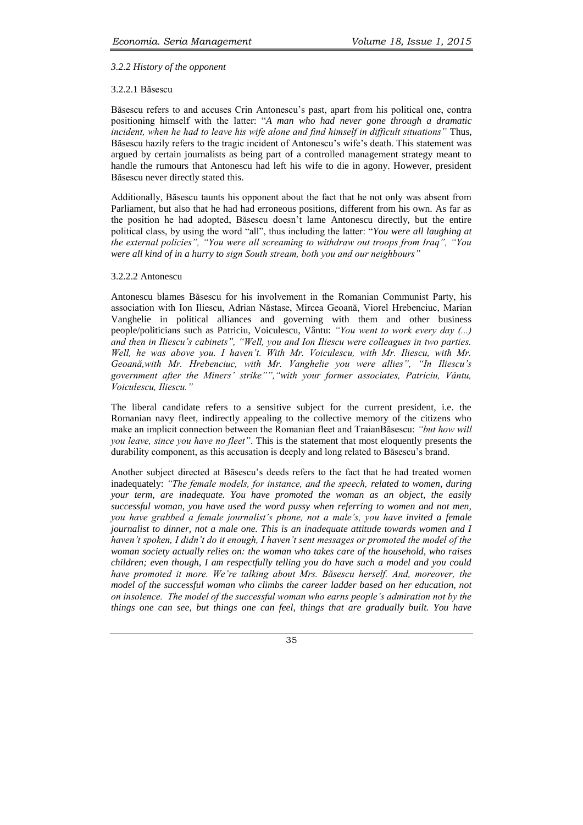# *3.2.2 History of the opponent*

# 3.2.2.1 Băsescu

Băsescu refers to and accuses Crin Antonescu's past, apart from his political one, contra positioning himself with the latter: "*A man who had never gone through a dramatic incident, when he had to leave his wife alone and find himself in difficult situations"* Thus, Băsescu hazily refers to the tragic incident of Antonescu's wife's death. This statement was argued by certain journalists as being part of a controlled management strategy meant to handle the rumours that Antonescu had left his wife to die in agony. However, president Băsescu never directly stated this.

Additionally, Băsescu taunts his opponent about the fact that he not only was absent from Parliament, but also that he had had erroneous positions, different from his own. As far as the position he had adopted, Băsescu doesn't lame Antonescu directly, but the entire political class, by using the word "all", thus including the latter: "*You were all laughing at the external policies", "You were all screaming to withdraw out troops from Iraq", "You were all kind of in a hurry to sign South stream, both you and our neighbours"* 

# 3.2.2.2 Antonescu

Antonescu blames Băsescu for his involvement in the Romanian Communist Party, his association with Ion Iliescu, Adrian Năstase, Mircea Geoană, Viorel Hrebenciuc, Marian Vanghelie in political alliances and governing with them and other business people/politicians such as Patriciu, Voiculescu, Vântu: *"You went to work every day (...) and then in Iliescu's cabinets", "Well, you and Ion Iliescu were colleagues in two parties. Well, he was above you. I haven't. With Mr. Voiculescu, with Mr. Iliescu, with Mr. Geoană,with Mr. Hrebenciuc, with Mr. Vanghelie you were allies", "In Iliescu's government after the Miners' strike"","with your former associates, Patriciu, Vântu, Voiculescu, Iliescu."* 

The liberal candidate refers to a sensitive subject for the current president, i.e. the Romanian navy fleet, indirectly appealing to the collective memory of the citizens who make an implicit connection between the Romanian fleet and TraianBăsescu: *"but how will you leave, since you have no fleet"*. This is the statement that most eloquently presents the durability component, as this accusation is deeply and long related to Băsescu's brand.

Another subject directed at Băsescu's deeds refers to the fact that he had treated women inadequately: *"The female models, for instance, and the speech, related to women, during your term, are inadequate. You have promoted the woman as an object, the easily successful woman, you have used the word pussy when referring to women and not men, you have grabbed a female journalist's phone, not a male's, you have invited a female journalist to dinner, not a male one. This is an inadequate attitude towards women and I haven't spoken, I didn't do it enough, I haven't sent messages or promoted the model of the woman society actually relies on: the woman who takes care of the household, who raises children; even though, I am respectfully telling you do have such a model and you could have promoted it more. We're talking about Mrs. Băsescu herself. And, moreover, the model of the successful woman who climbs the career ladder based on her education, not on insolence. The model of the successful woman who earns people's admiration not by the things one can see, but things one can feel, things that are gradually built. You have*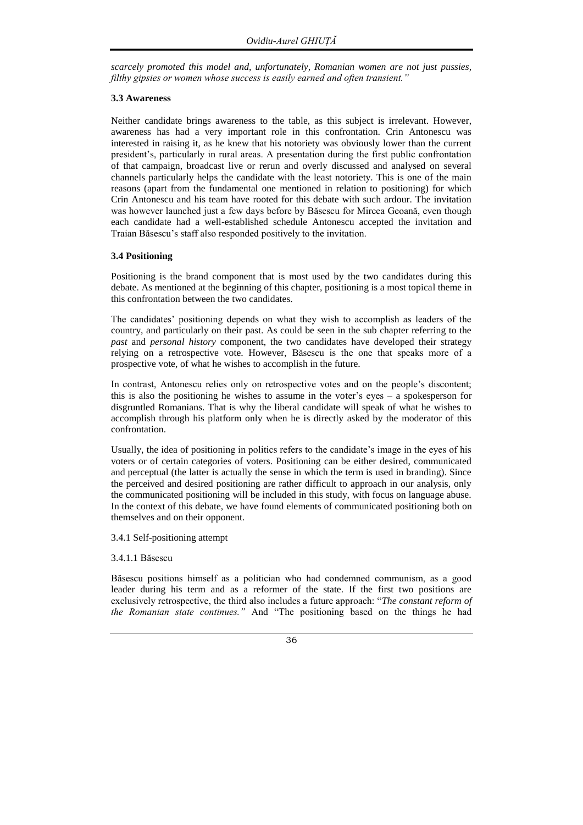*scarcely promoted this model and, unfortunately, Romanian women are not just pussies, filthy gipsies or women whose success is easily earned and often transient."* 

# **3.3 Awareness**

Neither candidate brings awareness to the table, as this subject is irrelevant. However, awareness has had a very important role in this confrontation. Crin Antonescu was interested in raising it, as he knew that his notoriety was obviously lower than the current president's, particularly in rural areas. A presentation during the first public confrontation of that campaign, broadcast live or rerun and overly discussed and analysed on several channels particularly helps the candidate with the least notoriety. This is one of the main reasons (apart from the fundamental one mentioned in relation to positioning) for which Crin Antonescu and his team have rooted for this debate with such ardour. The invitation was however launched just a few days before by Băsescu for Mircea Geoană, even though each candidate had a well-established schedule Antonescu accepted the invitation and Traian Băsescu's staff also responded positively to the invitation.

# **3.4 Positioning**

Positioning is the brand component that is most used by the two candidates during this debate. As mentioned at the beginning of this chapter, positioning is a most topical theme in this confrontation between the two candidates.

The candidates' positioning depends on what they wish to accomplish as leaders of the country, and particularly on their past. As could be seen in the sub chapter referring to the *past* and *personal history* component, the two candidates have developed their strategy relying on a retrospective vote. However, Băsescu is the one that speaks more of a prospective vote, of what he wishes to accomplish in the future.

In contrast, Antonescu relies only on retrospective votes and on the people's discontent; this is also the positioning he wishes to assume in the voter's eyes  $-$  a spokesperson for disgruntled Romanians. That is why the liberal candidate will speak of what he wishes to accomplish through his platform only when he is directly asked by the moderator of this confrontation.

Usually, the idea of positioning in politics refers to the candidate's image in the eyes of his voters or of certain categories of voters. Positioning can be either desired, communicated and perceptual (the latter is actually the sense in which the term is used in branding). Since the perceived and desired positioning are rather difficult to approach in our analysis, only the communicated positioning will be included in this study, with focus on language abuse. In the context of this debate, we have found elements of communicated positioning both on themselves and on their opponent.

3.4.1 Self-positioning attempt

### 3.4.1.1 Băsescu

Băsescu positions himself as a politician who had condemned communism, as a good leader during his term and as a reformer of the state. If the first two positions are exclusively retrospective, the third also includes a future approach: "*The constant reform of the Romanian state continues."* And "The positioning based on the things he had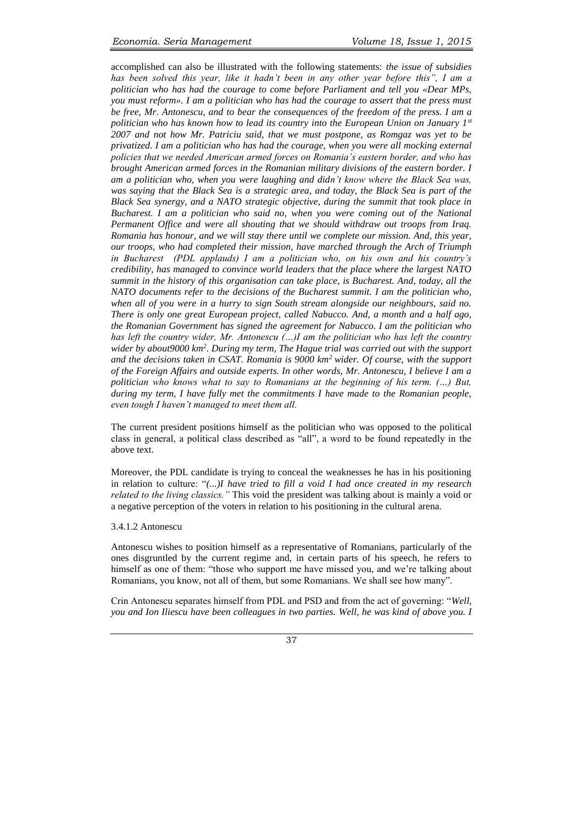accomplished can also be illustrated with the following statements: *the issue of subsidies has been solved this year, like it hadn't been in any other year before this", I am a politician who has had the courage to come before Parliament and tell you «Dear MPs, you must reform». I am a politician who has had the courage to assert that the press must be free, Mr. Antonescu, and to bear the consequences of the freedom of the press. I am a politician who has known how to lead its country into the European Union on January 1st 2007 and not how Mr. Patriciu said, that we must postpone, as Romgaz was yet to be privatized. I am a politician who has had the courage, when you were all mocking external policies that we needed American armed forces on Romania's eastern border, and who has brought American armed forces in the Romanian military divisions of the eastern border. I am a politician who, when you were laughing and didn't know where the Black Sea was, was saying that the Black Sea is a strategic area, and today, the Black Sea is part of the Black Sea synergy, and a NATO strategic objective, during the summit that took place in Bucharest. I am a politician who said no, when you were coming out of the National Permanent Office and were all shouting that we should withdraw out troops from Iraq. Romania has honour, and we will stay there until we complete our mission. And, this year, our troops, who had completed their mission, have marched through the Arch of Triumph in Bucharest (PDL applauds) I am a politician who, on his own and his country's credibility, has managed to convince world leaders that the place where the largest NATO summit in the history of this organisation can take place, is Bucharest. And, today, all the NATO documents refer to the decisions of the Bucharest summit. I am the politician who, when all of you were in a hurry to sign South stream alongside our neighbours, said no. There is only one great European project, called Nabucco. And, a month and a half ago, the Romanian Government has signed the agreement for Nabucco. I am the politician who*  has left the country wider, Mr. Antonescu (...)I am the politician who has left the country *wider by about9000 km<sup>2</sup> . During my term, The Hague trial was carried out with the support and the decisions taken in CSAT. Romania is 9000 km<sup>2</sup>wider. Of course, with the support of the Foreign Affairs and outside experts. In other words, Mr. Antonescu, I believe I am a politician who knows what to say to Romanians at the beginning of his term. (…) But, during my term, I have fully met the commitments I have made to the Romanian people, even tough I haven't managed to meet them all.* 

The current president positions himself as the politician who was opposed to the political class in general, a political class described as "all", a word to be found repeatedly in the above text.

Moreover, the PDL candidate is trying to conceal the weaknesses he has in his positioning in relation to culture: "*(...)I have tried to fill a void I had once created in my research related to the living classics."* This void the president was talking about is mainly a void or a negative perception of the voters in relation to his positioning in the cultural arena.

### 3.4.1.2 Antonescu

Antonescu wishes to position himself as a representative of Romanians, particularly of the ones disgruntled by the current regime and, in certain parts of his speech, he refers to himself as one of them: "those who support me have missed you, and we're talking about Romanians, you know, not all of them, but some Romanians. We shall see how many".

Crin Antonescu separates himself from PDL and PSD and from the act of governing: "*Well, you and Ion Iliescu have been colleagues in two parties. Well, he was kind of above you. I*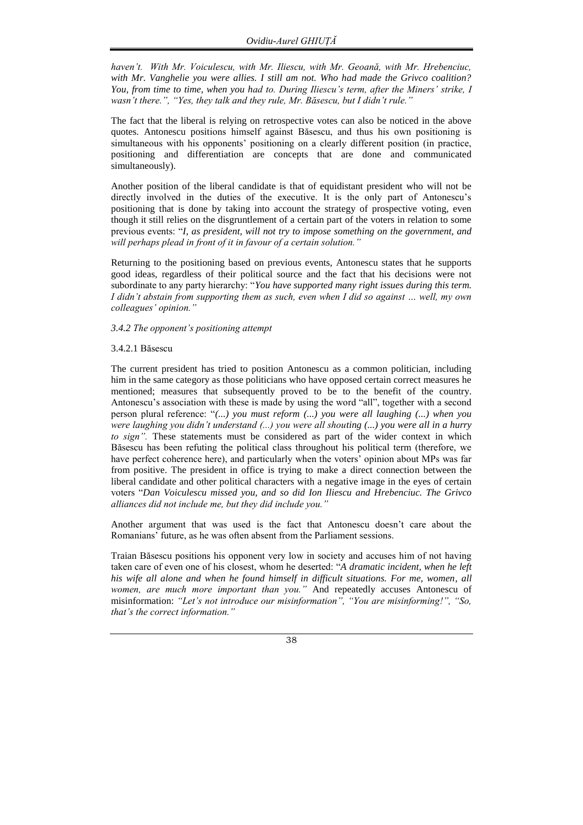*haven't. With Mr. Voiculescu, with Mr. Iliescu, with Mr. Geoană, with Mr. Hrebenciuc, with Mr. Vanghelie you were allies. I still am not. Who had made the Grivco coalition? You, from time to time, when you had to. During Iliescu's term, after the Miners' strike, I wasn't there.", "Yes, they talk and they rule, Mr. Băsescu, but I didn't rule."* 

The fact that the liberal is relying on retrospective votes can also be noticed in the above quotes. Antonescu positions himself against Băsescu, and thus his own positioning is simultaneous with his opponents' positioning on a clearly different position (in practice, positioning and differentiation are concepts that are done and communicated simultaneously).

Another position of the liberal candidate is that of equidistant president who will not be directly involved in the duties of the executive. It is the only part of Antonescu's positioning that is done by taking into account the strategy of prospective voting, even though it still relies on the disgruntlement of a certain part of the voters in relation to some previous events: "*I, as president, will not try to impose something on the government, and will perhaps plead in front of it in favour of a certain solution."*

Returning to the positioning based on previous events, Antonescu states that he supports good ideas, regardless of their political source and the fact that his decisions were not subordinate to any party hierarchy: "*You have supported many right issues during this term. I didn't abstain from supporting them as such, even when I did so against … well, my own colleagues' opinion."* 

## *3.4.2 The opponent's positioning attempt*

#### 3.4.2.1 Băsescu

The current president has tried to position Antonescu as a common politician, including him in the same category as those politicians who have opposed certain correct measures he mentioned; measures that subsequently proved to be to the benefit of the country. Antonescu's association with these is made by using the word "all", together with a second person plural reference: "*(...) you must reform (...) you were all laughing (...) when you were laughing you didn't understand (...) you were all shouting (...) you were all in a hurry to sign".* These statements must be considered as part of the wider context in which Băsescu has been refuting the political class throughout his political term (therefore, we have perfect coherence here), and particularly when the voters' opinion about MPs was far from positive. The president in office is trying to make a direct connection between the liberal candidate and other political characters with a negative image in the eyes of certain voters "*Dan Voiculescu missed you, and so did Ion Iliescu and Hrebenciuc. The Grivco alliances did not include me, but they did include you."* 

Another argument that was used is the fact that Antonescu doesn't care about the Romanians' future, as he was often absent from the Parliament sessions.

Traian Băsescu positions his opponent very low in society and accuses him of not having taken care of even one of his closest, whom he deserted: "*A dramatic incident, when he left his wife all alone and when he found himself in difficult situations. For me, women, all women, are much more important than you."* And repeatedly accuses Antonescu of misinformation: *"Let's not introduce our misinformation", "You are misinforming!", "So, that's the correct information."*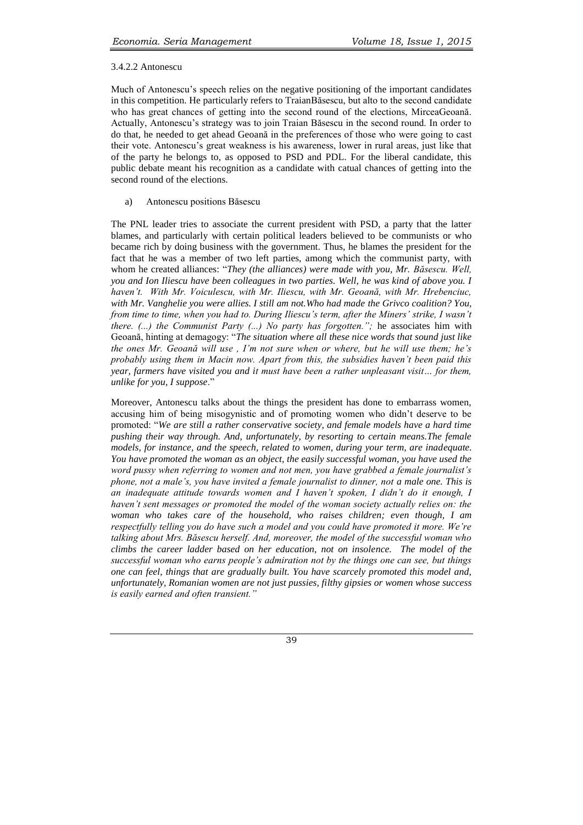### 3.4.2.2 Antonescu

Much of Antonescu's speech relies on the negative positioning of the important candidates in this competition. He particularly refers to TraianBăsescu, but alto to the second candidate who has great chances of getting into the second round of the elections, MirceaGeoană. Actually, Antonescu's strategy was to join Traian Băsescu in the second round. In order to do that, he needed to get ahead Geoană in the preferences of those who were going to cast their vote. Antonescu's great weakness is his awareness, lower in rural areas, just like that of the party he belongs to, as opposed to PSD and PDL. For the liberal candidate, this public debate meant his recognition as a candidate with catual chances of getting into the second round of the elections.

# a) Antonescu positions Băsescu

The PNL leader tries to associate the current president with PSD, a party that the latter blames, and particularly with certain political leaders believed to be communists or who became rich by doing business with the government. Thus, he blames the president for the fact that he was a member of two left parties, among which the communist party, with whom he created alliances: "*They (the alliances) were made with you, Mr. Băsescu. Well, you and Ion Iliescu have been colleagues in two parties. Well, he was kind of above you. I haven't. With Mr. Voiculescu, with Mr. Iliescu, with Mr. Geoană, with Mr. Hrebenciuc, with Mr. Vanghelie you were allies. I still am not.Who had made the Grivco coalition? You, from time to time, when you had to. During Iliescu's term, after the Miners' strike, I wasn't there. (...) the Communist Party (...) No party has forgotten.";* he associates him with Geoană, hinting at demagogy: "*The situation where all these nice words that sound just like the ones Mr. Geoană will use , I'm not sure when or where, but he will use them; he's probably using them in Macin now. Apart from this, the subsidies haven't been paid this year, farmers have visited you and it must have been a rather unpleasant visit… for them, unlike for you, I suppose*."

Moreover, Antonescu talks about the things the president has done to embarrass women, accusing him of being misogynistic and of promoting women who didn't deserve to be promoted: "*We are still a rather conservative society, and female models have a hard time pushing their way through. And, unfortunately, by resorting to certain means.The female models, for instance, and the speech, related to women, during your term, are inadequate. You have promoted the woman as an object, the easily successful woman, you have used the word pussy when referring to women and not men, you have grabbed a female journalist's phone, not a male's, you have invited a female journalist to dinner, not a male one. This is an inadequate attitude towards women and I haven't spoken, I didn't do it enough, I haven't sent messages or promoted the model of the woman society actually relies on: the woman who takes care of the household, who raises children; even though, I am respectfully telling you do have such a model and you could have promoted it more. We're talking about Mrs. Băsescu herself. And, moreover, the model of the successful woman who climbs the career ladder based on her education, not on insolence. The model of the successful woman who earns people's admiration not by the things one can see, but things one can feel, things that are gradually built. You have scarcely promoted this model and, unfortunately, Romanian women are not just pussies, filthy gipsies or women whose success is easily earned and often transient."*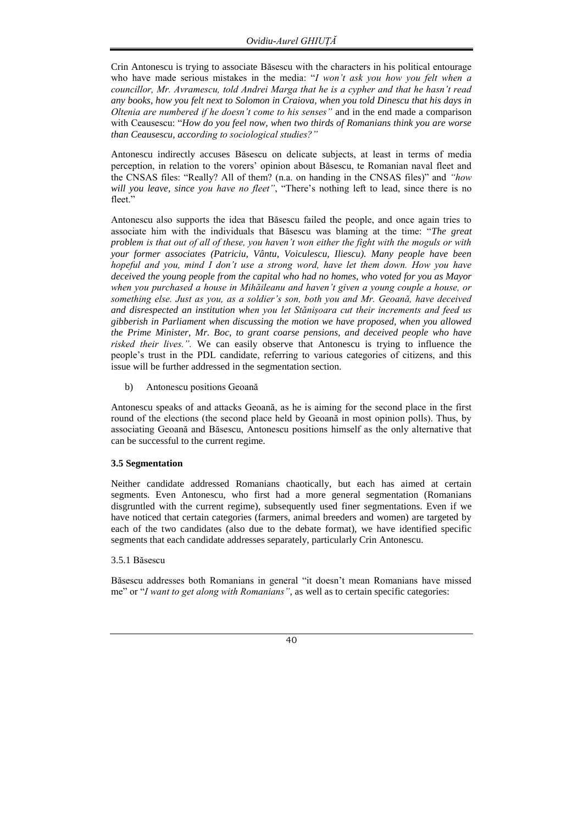Crin Antonescu is trying to associate Băsescu with the characters in his political entourage who have made serious mistakes in the media: "*I won't ask you how you felt when a councillor, Mr. Avramescu, told Andrei Marga that he is a cypher and that he hasn't read any books, how you felt next to Solomon in Craiova, when you told Dinescu that his days in Oltenia are numbered if he doesn't come to his senses"* and in the end made a comparison with Ceausescu: "*How do you feel now, when two thirds of Romanians think you are worse than Ceausescu, according to sociological studies?"* 

Antonescu indirectly accuses Băsescu on delicate subjects, at least in terms of media perception, in relation to the vorers' opinion about Băsescu, te Romanian naval fleet and the CNSAS files: "Really? All of them? (n.a. on handing in the CNSAS files)" and *"how will you leave, since you have no fleet"*, "There's nothing left to lead, since there is no fleet."

Antonescu also supports the idea that Băsescu failed the people, and once again tries to associate him with the individuals that Băsescu was blaming at the time: "*The great problem is that out of all of these, you haven't won either the fight with the moguls or with your former associates (Patriciu, Vântu, Voiculescu, Iliescu). Many people have been hopeful and you, mind I don't use a strong word, have let them down. How you have deceived the young people from the capital who had no homes, who voted for you as Mayor when you purchased a house in Mihăileanu and haven't given a young couple a house, or something else. Just as you, as a soldier's son, both you and Mr. Geoană, have deceived and disrespected an institution when you let Stănișoara cut their increments and feed us gibberish in Parliament when discussing the motion we have proposed, when you allowed the Prime Minister, Mr. Boc, to grant coarse pensions, and deceived people who have risked their lives.".* We can easily observe that Antonescu is trying to influence the people's trust in the PDL candidate, referring to various categories of citizens, and this issue will be further addressed in the segmentation section.

b) Antonescu positions Geoană

Antonescu speaks of and attacks Geoană, as he is aiming for the second place in the first round of the elections (the second place held by Geoană in most opinion polls). Thus, by associating Geoană and Băsescu, Antonescu positions himself as the only alternative that can be successful to the current regime.

# **3.5 Segmentation**

Neither candidate addressed Romanians chaotically, but each has aimed at certain segments. Even Antonescu, who first had a more general segmentation (Romanians disgruntled with the current regime), subsequently used finer segmentations. Even if we have noticed that certain categories (farmers, animal breeders and women) are targeted by each of the two candidates (also due to the debate format), we have identified specific segments that each candidate addresses separately, particularly Crin Antonescu.

# 3.5.1 Băsescu

Băsescu addresses both Romanians in general "it doesn't mean Romanians have missed me" or "*I want to get along with Romanians"*, as well as to certain specific categories: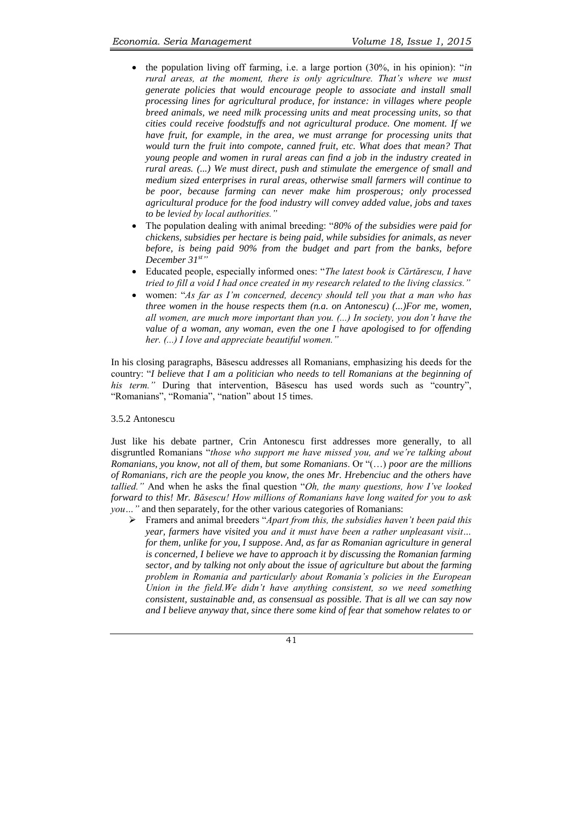- the population living off farming, i.e. a large portion (30%, in his opinion): "*in rural areas, at the moment, there is only agriculture. That's where we must generate policies that would encourage people to associate and install small processing lines for agricultural produce, for instance: in villages where people breed animals, we need milk processing units and meat processing units, so that cities could receive foodstuffs and not agricultural produce. One moment. If we have fruit, for example, in the area, we must arrange for processing units that*  would turn the fruit into compote, canned fruit, etc. What does that mean? That *young people and women in rural areas can find a job in the industry created in rural areas. (...) We must direct, push and stimulate the emergence of small and medium sized enterprises in rural areas, otherwise small farmers will continue to be poor, because farming can never make him prosperous; only processed agricultural produce for the food industry will convey added value, jobs and taxes to be levied by local authorities."*
- The population dealing with animal breeding: "*80% of the subsidies were paid for chickens, subsidies per hectare is being paid, while subsidies for animals, as never before, is being paid 90% from the budget and part from the banks, before December 31st"*
- Educated people, especially informed ones: "*The latest book is Cărtărescu, I have tried to fill a void I had once created in my research related to the living classics."*
- women: "*As far as I'm concerned, decency should tell you that a man who has three women in the house respects them (n.a. on Antonescu) (...)For me, women, all women, are much more important than you. (...) In society, you don't have the value of a woman, any woman, even the one I have apologised to for offending her. (...) I love and appreciate beautiful women."*

In his closing paragraphs, Băsescu addresses all Romanians, emphasizing his deeds for the country: "*I believe that I am a politician who needs to tell Romanians at the beginning of his term."* During that intervention, Băsescu has used words such as "country", "Romanians", "Romania", "nation" about 15 times.

#### 3.5.2 Antonescu

Just like his debate partner, Crin Antonescu first addresses more generally, to all disgruntled Romanians "*those who support me have missed you, and we're talking about Romanians, you know, not all of them, but some Romanians*. Or "(…) *poor are the millions of Romanians, rich are the people you know, the ones Mr. Hrebenciuc and the others have tallied."* And when he asks the final question "*Oh, the many questions, how I've looked forward to this! Mr. Băsescu! How millions of Romanians have long waited for you to ask you...*" and then separately, for the other various categories of Romanians:

 Framers and animal breeders "*Apart from this, the subsidies haven't been paid this year, farmers have visited you and it must have been a rather unpleasant visit… for them, unlike for you, I suppose*. *And, as far as Romanian agriculture in general is concerned, I believe we have to approach it by discussing the Romanian farming sector, and by talking not only about the issue of agriculture but about the farming problem in Romania and particularly about Romania's policies in the European Union in the field.We didn't have anything consistent, so we need something consistent, sustainable and, as consensual as possible. That is all we can say now and I believe anyway that, since there some kind of fear that somehow relates to or*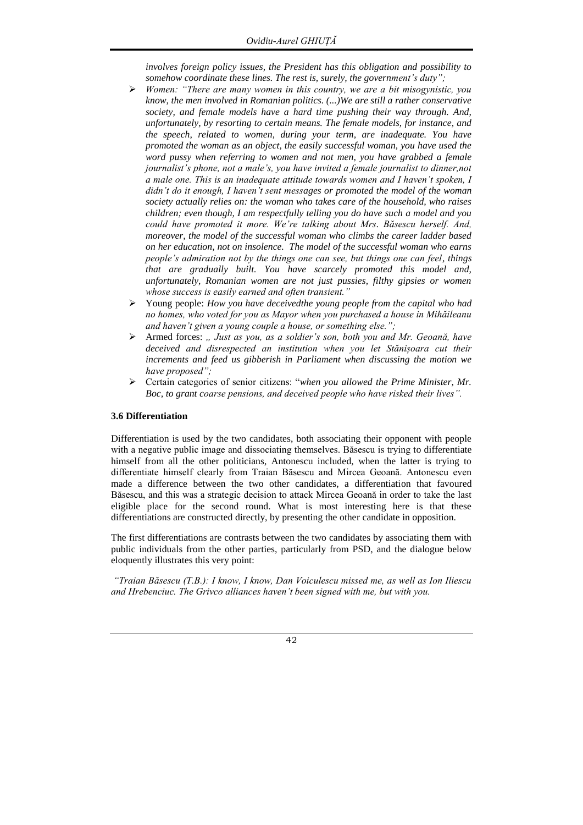*involves foreign policy issues, the President has this obligation and possibility to somehow coordinate these lines. The rest is, surely, the government's duty";*

- *Women: "There are many women in this country, we are a bit misogynistic, you know, the men involved in Romanian politics. (...)We are still a rather conservative society, and female models have a hard time pushing their way through. And, unfortunately, by resorting to certain means. The female models, for instance, and the speech, related to women, during your term, are inadequate. You have promoted the woman as an object, the easily successful woman, you have used the word pussy when referring to women and not men, you have grabbed a female journalist's phone, not a male's, you have invited a female journalist to dinner,not a male one. This is an inadequate attitude towards women and I haven't spoken, I didn't do it enough, I haven't sent messages or promoted the model of the woman society actually relies on: the woman who takes care of the household, who raises children; even though, I am respectfully telling you do have such a model and you could have promoted it more. We're talking about Mrs. Băsescu herself. And, moreover, the model of the successful woman who climbs the career ladder based on her education, not on insolence. The model of the successful woman who earns people's admiration not by the things one can see, but things one can feel, things that are gradually built. You have scarcely promoted this model and, unfortunately, Romanian women are not just pussies, filthy gipsies or women whose success is easily earned and often transient."*
- Young people: *How you have deceivedthe young people from the capital who had no homes, who voted for you as Mayor when you purchased a house in Mihăileanu and haven't given a young couple a house, or something else.";*
- Armed forces: *" Just as you, as a soldier's son, both you and Mr. Geoană, have deceived and disrespected an institution when you let Stănișoara cut their increments and feed us gibberish in Parliament when discussing the motion we have proposed";*
- Certain categories of senior citizens: "*when you allowed the Prime Minister, Mr. Boc, to grant coarse pensions, and deceived people who have risked their lives".*

# **3.6 Differentiation**

Differentiation is used by the two candidates, both associating their opponent with people with a negative public image and dissociating themselves. Băsescu is trying to differentiate himself from all the other politicians, Antonescu included, when the latter is trying to differentiate himself clearly from Traian Băsescu and Mircea Geoană. Antonescu even made a difference between the two other candidates, a differentiation that favoured Băsescu, and this was a strategic decision to attack Mircea Geoană in order to take the last eligible place for the second round. What is most interesting here is that these differentiations are constructed directly, by presenting the other candidate in opposition.

The first differentiations are contrasts between the two candidates by associating them with public individuals from the other parties, particularly from PSD, and the dialogue below eloquently illustrates this very point:

*"Traian Băsescu (T.B.): I know, I know, Dan Voiculescu missed me, as well as Ion Iliescu and Hrebenciuc. The Grivco alliances haven't been signed with me, but with you.*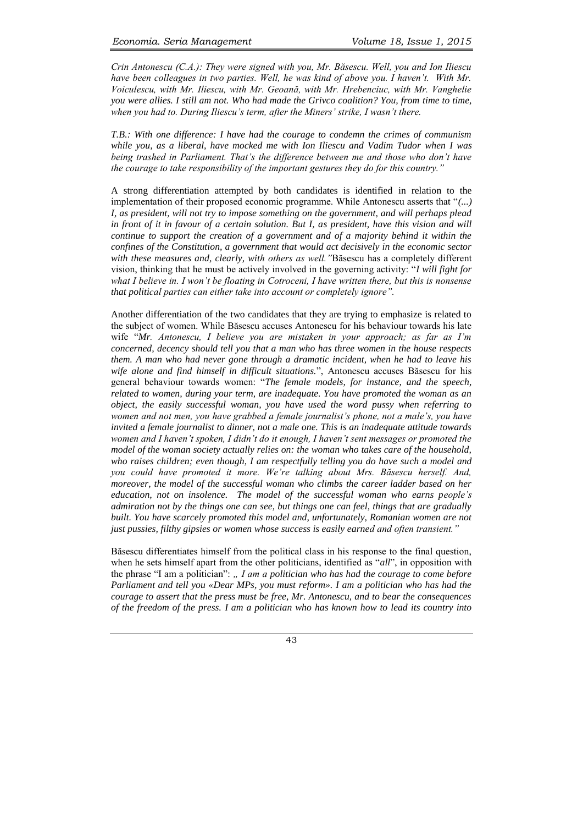*Crin Antonescu (C.A.): They were signed with you, Mr. Băsescu. Well, you and Ion Iliescu have been colleagues in two parties. Well, he was kind of above you. I haven't. With Mr. Voiculescu, with Mr. Iliescu, with Mr. Geoană, with Mr. Hrebenciuc, with Mr. Vanghelie you were allies. I still am not. Who had made the Grivco coalition? You, from time to time, when you had to. During Iliescu's term, after the Miners' strike, I wasn't there.* 

*T.B.: With one difference: I have had the courage to condemn the crimes of communism while you, as a liberal, have mocked me with Ion Iliescu and Vadim Tudor when I was being trashed in Parliament. That's the difference between me and those who don't have the courage to take responsibility of the important gestures they do for this country."* 

A strong differentiation attempted by both candidates is identified in relation to the implementation of their proposed economic programme. While Antonescu asserts that "*(...) I, as president, will not try to impose something on the government, and will perhaps plead in front of it in favour of a certain solution. But I, as president, have this vision and will continue to support the creation of a government and of a majority behind it within the confines of the Constitution, a government that would act decisively in the economic sector with these measures and, clearly, with others as well."*Băsescu has a completely different vision, thinking that he must be actively involved in the governing activity: "*I will fight for what I believe in. I won't be floating in Cotroceni, I have written there, but this is nonsense that political parties can either take into account or completely ignore".*

Another differentiation of the two candidates that they are trying to emphasize is related to the subject of women. While Băsescu accuses Antonescu for his behaviour towards his late wife "*Mr. Antonescu, I believe you are mistaken in your approach; as far as I'm concerned, decency should tell you that a man who has three women in the house respects them. A man who had never gone through a dramatic incident, when he had to leave his wife alone and find himself in difficult situations.*", Antonescu accuses Băsescu for his general behaviour towards women: "*The female models, for instance, and the speech, related to women, during your term, are inadequate. You have promoted the woman as an object, the easily successful woman, you have used the word pussy when referring to women and not men, you have grabbed a female journalist's phone, not a male's, you have invited a female journalist to dinner, not a male one. This is an inadequate attitude towards women and I haven't spoken, I didn't do it enough, I haven't sent messages or promoted the model of the woman society actually relies on: the woman who takes care of the household, who raises children; even though, I am respectfully telling you do have such a model and you could have promoted it more. We're talking about Mrs. Băsescu herself. And, moreover, the model of the successful woman who climbs the career ladder based on her education, not on insolence. The model of the successful woman who earns people's admiration not by the things one can see, but things one can feel, things that are gradually built. You have scarcely promoted this model and, unfortunately, Romanian women are not just pussies, filthy gipsies or women whose success is easily earned and often transient."*

Băsescu differentiates himself from the political class in his response to the final question, when he sets himself apart from the other politicians, identified as "*all*", in opposition with the phrase "I am a politician": *" I am a politician who has had the courage to come before Parliament and tell you «Dear MPs, you must reform». I am a politician who has had the courage to assert that the press must be free, Mr. Antonescu, and to bear the consequences of the freedom of the press. I am a politician who has known how to lead its country into*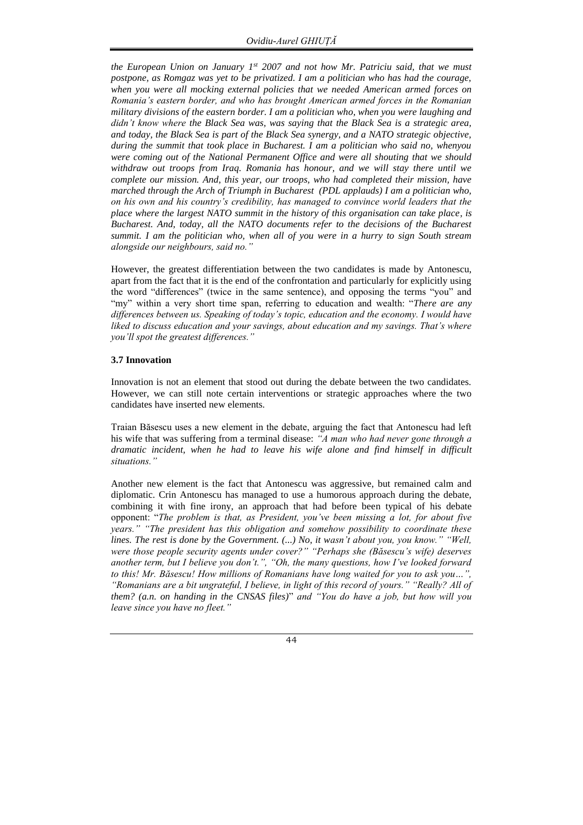*the European Union on January 1st 2007 and not how Mr. Patriciu said, that we must postpone, as Romgaz was yet to be privatized. I am a politician who has had the courage, when you were all mocking external policies that we needed American armed forces on Romania's eastern border, and who has brought American armed forces in the Romanian military divisions of the eastern border. I am a politician who, when you were laughing and didn't know where the Black Sea was, was saying that the Black Sea is a strategic area, and today, the Black Sea is part of the Black Sea synergy, and a NATO strategic objective, during the summit that took place in Bucharest. I am a politician who said no, whenyou were coming out of the National Permanent Office and were all shouting that we should withdraw out troops from Iraq. Romania has honour, and we will stay there until we complete our mission. And, this year, our troops, who had completed their mission, have marched through the Arch of Triumph in Bucharest (PDL applauds) I am a politician who, on his own and his country's credibility, has managed to convince world leaders that the place where the largest NATO summit in the history of this organisation can take place, is Bucharest. And, today, all the NATO documents refer to the decisions of the Bucharest summit. I am the politician who, when all of you were in a hurry to sign South stream alongside our neighbours, said no."*

However, the greatest differentiation between the two candidates is made by Antonescu, apart from the fact that it is the end of the confrontation and particularly for explicitly using the word "differences" (twice in the same sentence), and opposing the terms "you" and "my" within a very short time span, referring to education and wealth: "*There are any differences between us. Speaking of today's topic, education and the economy. I would have liked to discuss education and your savings, about education and my savings. That's where you'll spot the greatest differences."* 

### **3.7 Innovation**

Innovation is not an element that stood out during the debate between the two candidates. However, we can still note certain interventions or strategic approaches where the two candidates have inserted new elements.

Traian Băsescu uses a new element in the debate, arguing the fact that Antonescu had left his wife that was suffering from a terminal disease: *"A man who had never gone through a dramatic incident, when he had to leave his wife alone and find himself in difficult situations."*

Another new element is the fact that Antonescu was aggressive, but remained calm and diplomatic. Crin Antonescu has managed to use a humorous approach during the debate, combining it with fine irony, an approach that had before been typical of his debate opponent: "*The problem is that, as President, you've been missing a lot, for about five years." "The president has this obligation and somehow possibility to coordinate these lines. The rest is done by the Government. (...) No, it wasn't about you, you know." "Well, were those people security agents under cover?" "Perhaps she (Băsescu's wife) deserves another term, but I believe you don't.", "Oh, the many questions, how I've looked forward to this! Mr. Băsescu! How millions of Romanians have long waited for you to ask you…", "Romanians are a bit ungrateful, I believe, in light of this record of yours." "Really? All of them? (a.n. on handing in the CNSAS files)*" *and "You do have a job, but how will you leave since you have no fleet."* 

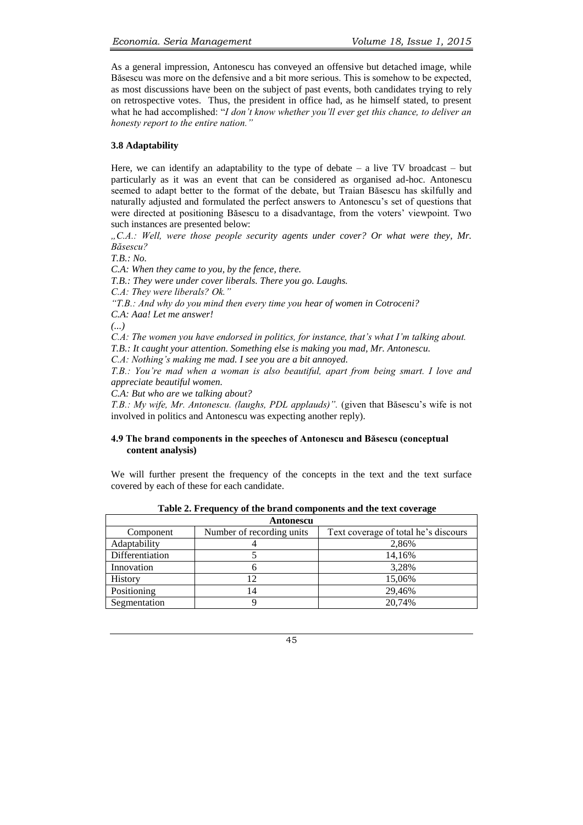As a general impression, Antonescu has conveyed an offensive but detached image, while Băsescu was more on the defensive and a bit more serious. This is somehow to be expected, as most discussions have been on the subject of past events, both candidates trying to rely on retrospective votes. Thus, the president in office had, as he himself stated, to present what he had accomplished: "*I don't know whether you'll ever get this chance, to deliver an honesty report to the entire nation."* 

# **3.8 Adaptability**

Here, we can identify an adaptability to the type of debate  $-$  a live TV broadcast  $-$  but particularly as it was an event that can be considered as organised ad-hoc. Antonescu seemed to adapt better to the format of the debate, but Traian Băsescu has skilfully and naturally adjusted and formulated the perfect answers to Antonescu's set of questions that were directed at positioning Băsescu to a disadvantage, from the voters' viewpoint. Two such instances are presented below:

*"C.A.: Well, were those people security agents under cover? Or what were they, Mr. Băsescu?* 

*T.B.: No.*

*C.A: When they came to you, by the fence, there.* 

*T.B.: They were under cover liberals. There you go. Laughs.*

*C.A: They were liberals? Ok."*

*"T.B.: And why do you mind then every time you hear of women in Cotroceni?*

*C.A: Aaa! Let me answer!*

*(...)*

*C.A: The women you have endorsed in politics, for instance, that's what I'm talking about.* 

*T.B.: It caught your attention. Something else is making you mad, Mr. Antonescu.* 

*C.A: Nothing's making me mad. I see you are a bit annoyed.* 

*T.B.: You're mad when a woman is also beautiful, apart from being smart. I love and appreciate beautiful women.* 

*C.A: But who are we talking about?*

*T.B.: My wife, Mr. Antonescu. (laughs, PDL applauds)".* (given that Băsescu's wife is not involved in politics and Antonescu was expecting another reply).

## **4.9 The brand components in the speeches of Antonescu and Băsescu (conceptual content analysis)**

We will further present the frequency of the concepts in the text and the text surface covered by each of these for each candidate.

| Antonescu       |                           |                                      |  |  |  |  |  |  |  |
|-----------------|---------------------------|--------------------------------------|--|--|--|--|--|--|--|
| Component       | Number of recording units | Text coverage of total he's discours |  |  |  |  |  |  |  |
| Adaptability    |                           | 2,86%                                |  |  |  |  |  |  |  |
| Differentiation |                           | 14,16%                               |  |  |  |  |  |  |  |
| Innovation      |                           | 3,28%                                |  |  |  |  |  |  |  |
| <b>History</b>  | ר ו                       | 15,06%                               |  |  |  |  |  |  |  |
| Positioning     | 14                        | 29,46%                               |  |  |  |  |  |  |  |
| Segmentation    |                           | 20.74%                               |  |  |  |  |  |  |  |

**Table 2. Frequency of the brand components and the text coverage**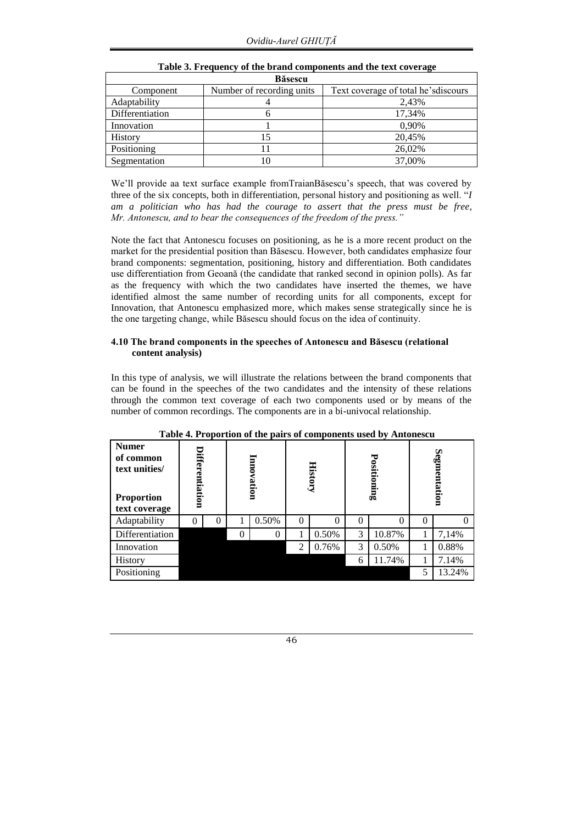| <b>B</b> ăsescu |                           |                                      |  |  |  |  |  |  |
|-----------------|---------------------------|--------------------------------------|--|--|--|--|--|--|
| Component       | Number of recording units | Text coverage of total he's discours |  |  |  |  |  |  |
| Adaptability    | 4                         | 2,43%                                |  |  |  |  |  |  |
| Differentiation |                           | 17,34%                               |  |  |  |  |  |  |
| Innovation      |                           | 0,90%                                |  |  |  |  |  |  |
| <b>History</b>  |                           | 20,45%                               |  |  |  |  |  |  |
| Positioning     |                           | 26,02%                               |  |  |  |  |  |  |
| Segmentation    | l0                        | 37,00%                               |  |  |  |  |  |  |

# **Table 3. Frequency of the brand components and the text coverage**

We'll provide aa text surface example fromTraianBăsescu's speech, that was covered by three of the six concepts, both in differentiation, personal history and positioning as well. "*I am a politician who has had the courage to assert that the press must be free, Mr. Antonescu, and to bear the consequences of the freedom of the press."*

Note the fact that Antonescu focuses on positioning, as he is a more recent product on the market for the presidential position than Băsescu. However, both candidates emphasize four brand components: segmentation, positioning, history and differentiation. Both candidates use differentiation from Geoană (the candidate that ranked second in opinion polls). As far as the frequency with which the two candidates have inserted the themes, we have identified almost the same number of recording units for all components, except for Innovation, that Antonescu emphasized more, which makes sense strategically since he is the one targeting change, while Băsescu should focus on the idea of continuity.

# **4.10 The brand components in the speeches of Antonescu and Băsescu (relational content analysis)**

In this type of analysis, we will illustrate the relations between the brand components that can be found in the speeches of the two candidates and the intensity of these relations through the common text coverage of each two components used or by means of the number of common recordings. The components are in a bi-univocal relationship.

| <b>Numer</b><br>of common<br>text unities/<br><b>Proportion</b><br>text coverage | Differentiation |                | Ţ<br>ē<br>vation |          | <b>History</b> |       | $\cdot$<br>Positioning |        | Segmentation |        |
|----------------------------------------------------------------------------------|-----------------|----------------|------------------|----------|----------------|-------|------------------------|--------|--------------|--------|
| Adaptability                                                                     | $\theta$        | $\overline{0}$ |                  | 0.50%    | 0              | 0     |                        | 0      | $\theta$     |        |
| Differentiation                                                                  |                 |                | 0                | $\theta$ |                | 0.50% | 3                      | 10.87% |              | 7,14%  |
| Innovation                                                                       |                 |                |                  |          | $\overline{2}$ | 0.76% | 3                      | 0.50%  |              | 0.88%  |
| History                                                                          |                 |                |                  |          |                |       | 6                      | 11.74% |              | 7.14%  |
| Positioning                                                                      |                 |                |                  |          |                |       |                        |        | 5            | 13.24% |

**Table 4. Proportion of the pairs of components used by Antonescu**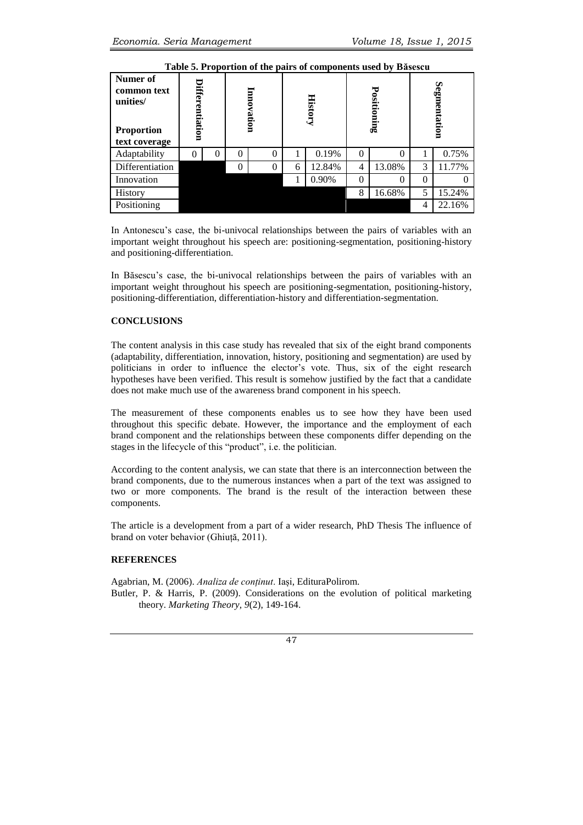| Numer of<br>common text<br>unities/<br><b>Proportion</b><br>text coverage | Differentiation |          | Innovation |          | <b>History</b> |        |          | Positioning | Segmentation |        |
|---------------------------------------------------------------------------|-----------------|----------|------------|----------|----------------|--------|----------|-------------|--------------|--------|
| Adaptability                                                              | 0               | $\theta$ | 0          | 0        | 1              | 0.19%  | $\Omega$ | $\theta$    |              | 0.75%  |
| Differentiation                                                           |                 |          | $\theta$   | $\theta$ | 6              | 12.84% | 4        | 13.08%      | 3            | 11.77% |
| Innovation                                                                |                 |          |            |          |                | 0.90%  | 0        | 0           | 0            |        |
| History                                                                   |                 |          |            |          |                |        | 8        | 16.68%      | 5            | 15.24% |
| Positioning                                                               |                 |          |            |          |                |        |          |             | 4            | 22.16% |

**Table 5. Proportion of the pairs of components used by Băsescu**

In Antonescu's case, the bi-univocal relationships between the pairs of variables with an important weight throughout his speech are: positioning-segmentation, positioning-history and positioning-differentiation.

In Băsescu's case, the bi-univocal relationships between the pairs of variables with an important weight throughout his speech are positioning-segmentation, positioning-history, positioning-differentiation, differentiation-history and differentiation-segmentation.

# **CONCLUSIONS**

The content analysis in this case study has revealed that six of the eight brand components (adaptability, differentiation, innovation, history, positioning and segmentation) are used by politicians in order to influence the elector's vote. Thus, six of the eight research hypotheses have been verified. This result is somehow justified by the fact that a candidate does not make much use of the awareness brand component in his speech.

The measurement of these components enables us to see how they have been used throughout this specific debate. However, the importance and the employment of each brand component and the relationships between these components differ depending on the stages in the lifecycle of this "product", i.e. the politician.

According to the content analysis, we can state that there is an interconnection between the brand components, due to the numerous instances when a part of the text was assigned to two or more components. The brand is the result of the interaction between these components.

The article is a development from a part of a wider research, PhD Thesis The influence of brand on voter behavior (Ghiuță, 2011).

# **REFERENCES**

Agabrian, M. (2006). *Analiza de conținut*. Iași, EdituraPolirom. Butler, P. & Harris, P. (2009). Considerations on the evolution of political marketing theory. *Marketing Theory, 9*(2), 149-164.